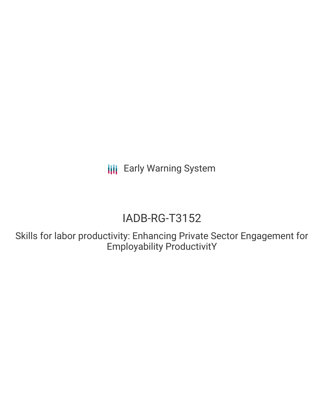**III** Early Warning System

# IADB-RG-T3152

Skills for labor productivity: Enhancing Private Sector Engagement for Employability ProductivitY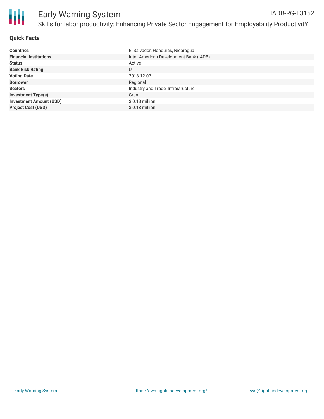

# **Quick Facts**

| <b>Countries</b>               | El Salvador, Honduras, Nicaragua       |
|--------------------------------|----------------------------------------|
| <b>Financial Institutions</b>  | Inter-American Development Bank (IADB) |
| <b>Status</b>                  | Active                                 |
| <b>Bank Risk Rating</b>        | U                                      |
| <b>Voting Date</b>             | 2018-12-07                             |
| <b>Borrower</b>                | Regional                               |
| <b>Sectors</b>                 | Industry and Trade, Infrastructure     |
| <b>Investment Type(s)</b>      | Grant                                  |
| <b>Investment Amount (USD)</b> | $$0.18$ million                        |
| <b>Project Cost (USD)</b>      | $$0.18$ million                        |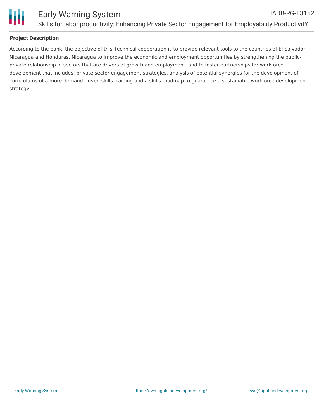

### **Project Description**

According to the bank, the objective of this Technical cooperation is to provide relevant tools to the countries of El Salvador, Nicaragua and Honduras, Nicaragua to improve the economic and employment opportunities by strengthening the publicprivate relationship in sectors that are drivers of growth and employment, and to foster partnerships for workforce development that includes: private sector engagement strategies, analysis of potential synergies for the development of curriculums of a more demand-driven skills training and a skills roadmap to guarantee a sustainable workforce development strategy.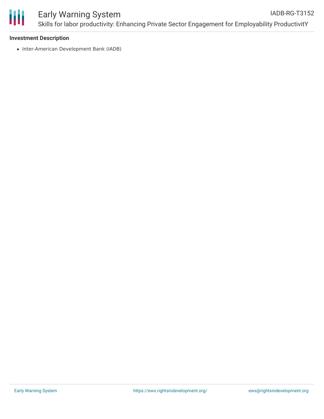

#### **Investment Description**

• Inter-American Development Bank (IADB)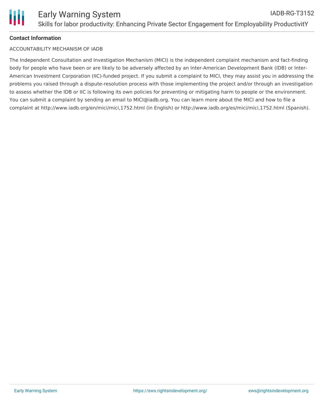## **Contact Information**

#### ACCOUNTABILITY MECHANISM OF IADB

The Independent Consultation and Investigation Mechanism (MICI) is the independent complaint mechanism and fact-finding body for people who have been or are likely to be adversely affected by an Inter-American Development Bank (IDB) or Inter-American Investment Corporation (IIC)-funded project. If you submit a complaint to MICI, they may assist you in addressing the problems you raised through a dispute-resolution process with those implementing the project and/or through an investigation to assess whether the IDB or IIC is following its own policies for preventing or mitigating harm to people or the environment. You can submit a complaint by sending an email to MICI@iadb.org. You can learn more about the MICI and how to file a complaint at http://www.iadb.org/en/mici/mici,1752.html (in English) or http://www.iadb.org/es/mici/mici,1752.html (Spanish).